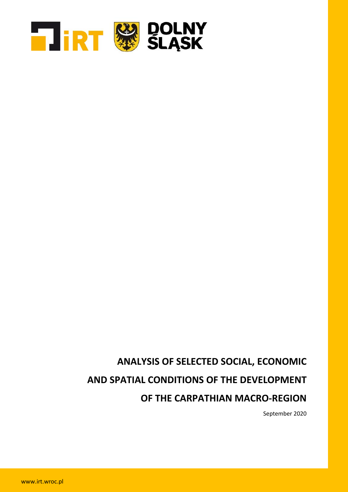

# **ANALYSIS OF SELECTED SOCIAL, ECONOMIC AND SPATIAL CONDITIONS OF THE DEVELOPMENT OF THE CARPATHIAN MACRO-REGION**

September 2020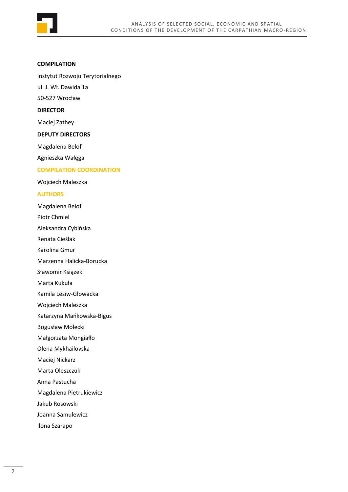

#### **COMPILATION**

Instytut Rozwoju Terytorialnego

ul. J. Wł. Dawida 1a

50-527 Wrocław

## **DIRECTOR**

Maciej Zathey

#### **DEPUTY DIRECTORS**

Magdalena Belof

Agnieszka Wałęga

### **COMPILATION COORDINATION**

Wojciech Maleszka

#### **AUTHORS**

Magdalena Belof

Piotr Chmiel

Aleksandra Cybińska

Renata Cieślak

Karolina Gmur

Marzenna Halicka-Borucka

Sławomir Książek

Marta Kukuła

Kamila Lesiw-Głowacka

Wojciech Maleszka

Katarzyna Mańkowska-Bigus

Bogusław Molecki

Małgorzata Mongiałło

Olena Mykhailovska

Maciej Nickarz

Marta Oleszczuk

Anna Pastucha

Magdalena Pietrukiewicz

Jakub Rosowski

Joanna Samulewicz

Ilona Szarapo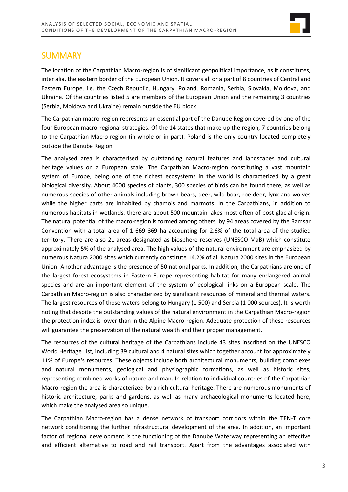

# **SUMMARY**

The location of the Carpathian Macro-region is of significant geopolitical importance, as it constitutes, inter alia, the eastern border of the European Union. It covers all or a part of 8 countries of Central and Eastern Europe, i.e. the Czech Republic, Hungary, Poland, Romania, Serbia, Slovakia, Moldova, and Ukraine. Of the countries listed 5 are members of the European Union and the remaining 3 countries (Serbia, Moldova and Ukraine) remain outside the EU block.

The Carpathian macro-region represents an essential part of the Danube Region covered by one of the four European macro-regional strategies. Of the 14 states that make up the region, 7 countries belong to the Carpathian Macro-region (in whole or in part). Poland is the only country located completely outside the Danube Region.

The analysed area is characterised by outstanding natural features and landscapes and cultural heritage values on a European scale. The Carpathian Macro-region constituting a vast mountain system of Europe, being one of the richest ecosystems in the world is characterized by a great biological diversity. About 4000 species of plants, 300 species of birds can be found there, as well as numerous species of other animals including brown bears, deer, wild boar, roe deer, lynx and wolves while the higher parts are inhabited by chamois and marmots. In the Carpathians, in addition to numerous habitats in wetlands, there are about 500 mountain lakes most often of post-glacial origin. The natural potential of the macro-region is formed among others, by 94 areas covered by the Ramsar Convention with a total area of 1 669 369 ha accounting for 2.6% of the total area of the studied territory. There are also 21 areas designated as biosphere reserves (UNESCO MaB) which constitute approximately 5% of the analysed area. The high values of the natural environment are emphasized by numerous Natura 2000 sites which currently constitute 14.2% of all Natura 2000 sites in the European Union. Another advantage is the presence of 50 national parks. In addition, the Carpathians are one of the largest forest ecosystems in Eastern Europe representing habitat for many endangered animal species and are an important element of the system of ecological links on a European scale. The Carpathian Macro-region is also characterized by significant resources of mineral and thermal waters. The largest resources of those waters belong to Hungary (1 500) and Serbia (1 000 sources). It is worth noting that despite the outstanding values of the natural environment in the Carpathian Macro-region the protection index is lower than in the Alpine Macro-region. Adequate protection of these resources will guarantee the preservation of the natural wealth and their proper management.

The resources of the cultural heritage of the Carpathians include 43 sites inscribed on the UNESCO World Heritage List, including 39 cultural and 4 natural sites which together account for approximately 11% of Europe's resources. These objects include both architectural monuments, building complexes and natural monuments, geological and physiographic formations, as well as historic sites, representing combined works of nature and man. In relation to individual countries of the Carpathian Macro-region the area is characterized by a rich cultural heritage. There are numerous monuments of historic architecture, parks and gardens, as well as many archaeological monuments located here, which make the analysed area so unique.

The Carpathian Macro-region has a dense network of transport corridors within the TEN-T core network conditioning the further infrastructural development of the area. In addition, an important factor of regional development is the functioning of the Danube Waterway representing an effective and efficient alternative to road and rail transport. Apart from the advantages associated with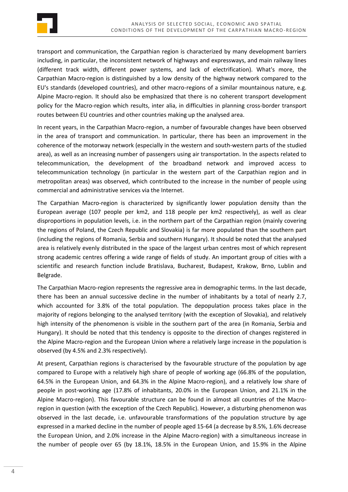

transport and communication, the Carpathian region is characterized by many development barriers including, in particular, the inconsistent network of highways and expressways, and main railway lines (different track width, different power systems, and lack of electrification). What's more, the Carpathian Macro-region is distinguished by a low density of the highway network compared to the EU's standards (developed countries), and other macro-regions of a similar mountainous nature, e.g. Alpine Macro-region. It should also be emphasized that there is no coherent transport development policy for the Macro-region which results, inter alia, in difficulties in planning cross-border transport routes between EU countries and other countries making up the analysed area.

In recent years, in the Carpathian Macro-region, a number of favourable changes have been observed in the area of transport and communication. In particular, there has been an improvement in the coherence of the motorway network (especially in the western and south-western parts of the studied area), as well as an increasing number of passengers using air transportation. In the aspects related to telecommunication, the development of the broadband network and improved access to telecommunication technology (in particular in the western part of the Carpathian region and in metropolitan areas) was observed, which contributed to the increase in the number of people using commercial and administrative services via the Internet.

The Carpathian Macro-region is characterized by significantly lower population density than the European average (107 people per km2, and 118 people per km2 respectively), as well as clear disproportions in population levels, i.e. in the northern part of the Carpathian region (mainly covering the regions of Poland, the Czech Republic and Slovakia) is far more populated than the southern part (including the regions of Romania, Serbia and southern Hungary). It should be noted that the analysed area is relatively evenly distributed in the space of the largest urban centres most of which represent strong academic centres offering a wide range of fields of study. An important group of cities with a scientific and research function include Bratislava, Bucharest, Budapest, Krakow, Brno, Lublin and Belgrade.

The Carpathian Macro-region represents the regressive area in demographic terms. In the last decade, there has been an annual successive decline in the number of inhabitants by a total of nearly 2.7, which accounted for 3.8% of the total population. The depopulation process takes place in the majority of regions belonging to the analysed territory (with the exception of Slovakia), and relatively high intensity of the phenomenon is visible in the southern part of the area (in Romania, Serbia and Hungary). It should be noted that this tendency is opposite to the direction of changes registered in the Alpine Macro-region and the European Union where a relatively large increase in the population is observed (by 4.5% and 2.3% respectively).

At present, Carpathian regions is characterised by the favourable structure of the population by age compared to Europe with a relatively high share of people of working age (66.8% of the population, 64.5% in the European Union, and 64.3% in the Alpine Macro-region), and a relatively low share of people in post-working age (17.8% of inhabitants, 20.0% in the European Union, and 21.1% in the Alpine Macro-region). This favourable structure can be found in almost all countries of the Macroregion in question (with the exception of the Czech Republic). However, a disturbing phenomenon was observed in the last decade, i.e. unfavourable transformations of the population structure by age expressed in a marked decline in the number of people aged 15-64 (a decrease by 8.5%, 1.6% decrease the European Union, and 2.0% increase in the Alpine Macro-region) with a simultaneous increase in the number of people over 65 (by 18.1%, 18.5% in the European Union, and 15.9% in the Alpine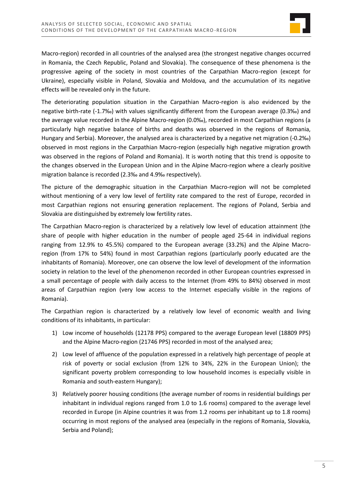

Macro-region) recorded in all countries of the analysed area (the strongest negative changes occurred in Romania, the Czech Republic, Poland and Slovakia). The consequence of these phenomena is the progressive ageing of the society in most countries of the Carpathian Macro-region (except for Ukraine), especially visible in Poland, Slovakia and Moldova, and the accumulation of its negative effects will be revealed only in the future.

The deteriorating population situation in the Carpathian Macro-region is also evidenced by the negative birth-rate (-1.7‰) with values significantly different from the European average (0.3‰) and the average value recorded in the Alpine Macro-region (0.0‰), recorded in most Carpathian regions (a particularly high negative balance of births and deaths was observed in the regions of Romania, Hungary and Serbia). Moreover, the analysed area is characterized by a negative net migration (-0.2‰) observed in most regions in the Carpathian Macro-region (especially high negative migration growth was observed in the regions of Poland and Romania). It is worth noting that this trend is opposite to the changes observed in the European Union and in the Alpine Macro-region where a clearly positive migration balance is recorded (2.3‰ and 4.9‰ respectively).

The picture of the demographic situation in the Carpathian Macro-region will not be completed without mentioning of a very low level of fertility rate compared to the rest of Europe, recorded in most Carpathian regions not ensuring generation replacement. The regions of Poland, Serbia and Slovakia are distinguished by extremely low fertility rates.

The Carpathian Macro-region is characterized by a relatively low level of education attainment (the share of people with higher education in the number of people aged 25-64 in individual regions ranging from 12.9% to 45.5%) compared to the European average (33.2%) and the Alpine Macroregion (from 17% to 54%) found in most Carpathian regions (particularly poorly educated are the inhabitants of Romania). Moreover, one can observe the low level of development of the information society in relation to the level of the phenomenon recorded in other European countries expressed in a small percentage of people with daily access to the Internet (from 49% to 84%) observed in most areas of Carpathian region (very low access to the Internet especially visible in the regions of Romania).

The Carpathian region is characterized by a relatively low level of economic wealth and living conditions of its inhabitants, in particular:

- 1) Low income of households (12178 PPS) compared to the average European level (18809 PPS) and the Alpine Macro-region (21746 PPS) recorded in most of the analysed area;
- 2) Low level of affluence of the population expressed in a relatively high percentage of people at risk of poverty or social exclusion (from 12% to 34%, 22% in the European Union); the significant poverty problem corresponding to low household incomes is especially visible in Romania and south-eastern Hungary);
- 3) Relatively poorer housing conditions (the average number of rooms in residential buildings per inhabitant in individual regions ranged from 1.0 to 1.6 rooms) compared to the average level recorded in Europe (in Alpine countries it was from 1.2 rooms per inhabitant up to 1.8 rooms) occurring in most regions of the analysed area (especially in the regions of Romania, Slovakia, Serbia and Poland);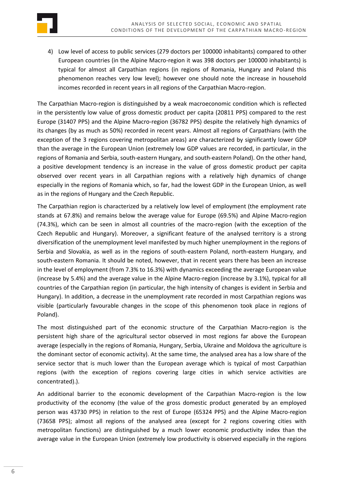

4) Low level of access to public services (279 doctors per 100000 inhabitants) compared to other European countries (in the Alpine Macro-region it was 398 doctors per 100000 inhabitants) is typical for almost all Carpathian regions (in regions of Romania, Hungary and Poland this phenomenon reaches very low level); however one should note the increase in household incomes recorded in recent years in all regions of the Carpathian Macro-region.

The Carpathian Macro-region is distinguished by a weak macroeconomic condition which is reflected in the persistently low value of gross domestic product per capita (20811 PPS) compared to the rest Europe (31407 PPS) and the Alpine Macro-region (36782 PPS) despite the relatively high dynamics of its changes (by as much as 50%) recorded in recent years. Almost all regions of Carpathians (with the exception of the 3 regions covering metropolitan areas) are characterized by significantly lower GDP than the average in the European Union (extremely low GDP values are recorded, in particular, in the regions of Romania and Serbia, south-eastern Hungary, and south-eastern Poland). On the other hand, a positive development tendency is an increase in the value of gross domestic product per capita observed over recent years in all Carpathian regions with a relatively high dynamics of change especially in the regions of Romania which, so far, had the lowest GDP in the European Union, as well as in the regions of Hungary and the Czech Republic.

The Carpathian region is characterized by a relatively low level of employment (the employment rate stands at 67.8%) and remains below the average value for Europe (69.5%) and Alpine Macro-region (74.3%), which can be seen in almost all countries of the macro-region (with the exception of the Czech Republic and Hungary). Moreover, a significant feature of the analysed territory is a strong diversification of the unemployment level manifested by much higher unemployment in the regions of Serbia and Slovakia, as well as in the regions of south-eastern Poland, north-eastern Hungary, and south-eastern Romania. It should be noted, however, that in recent years there has been an increase in the level of employment (from 7.3% to 16.3%) with dynamics exceeding the average European value (increase by 5.4%) and the average value in the Alpine Macro-region (increase by 3.1%), typical for all countries of the Carpathian region (in particular, the high intensity of changes is evident in Serbia and Hungary). In addition, a decrease in the unemployment rate recorded in most Carpathian regions was visible (particularly favourable changes in the scope of this phenomenon took place in regions of Poland).

The most distinguished part of the economic structure of the Carpathian Macro-region is the persistent high share of the agricultural sector observed in most regions far above the European average (especially in the regions of Romania, Hungary, Serbia, Ukraine and Moldova the agriculture is the dominant sector of economic activity). At the same time, the analysed area has a low share of the service sector that is much lower than the European average which is typical of most Carpathian regions (with the exception of regions covering large cities in which service activities are concentrated).).

An additional barrier to the economic development of the Carpathian Macro-region is the low productivity of the economy (the value of the gross domestic product generated by an employed person was 43730 PPS) in relation to the rest of Europe (65324 PPS) and the Alpine Macro-region (73658 PPS); almost all regions of the analysed area (except for 2 regions covering cities with metropolitan functions) are distinguished by a much lower economic productivity index than the average value in the European Union (extremely low productivity is observed especially in the regions